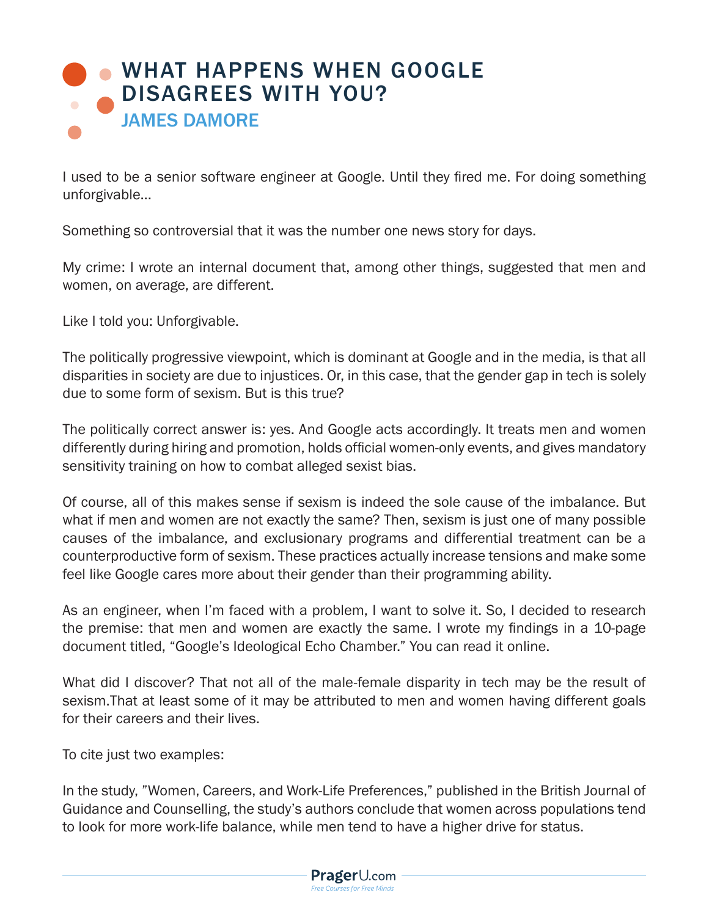## **[WHAT HAPPENS WHEN GOOGLE](https://www.prageru.com/courses/political-science/what-happens-when-google-disagrees-you)** DISAGREES WITH YOU? JAMES DAMORE

I used to be a senior software engineer at Google. Until they fired me. For doing something unforgivable...

Something so controversial that it was the number one news story for days.

My crime: I wrote an internal document that, among other things, suggested that men and women, on average, are different.

Like I told you: Unforgivable.

The politically progressive viewpoint, which is dominant at Google and in the media, is that all disparities in society are due to injustices. Or, in this case, that the gender gap in tech is solely due to some form of sexism. But is this true?

The politically correct answer is: yes. And Google acts accordingly. It treats men and women differently during hiring and promotion, holds official women-only events, and gives mandatory sensitivity training on how to combat alleged sexist bias.

Of course, all of this makes sense if sexism is indeed the sole cause of the imbalance. But what if men and women are not exactly the same? Then, sexism is just one of many possible causes of the imbalance, and exclusionary programs and differential treatment can be a counterproductive form of sexism. These practices actually increase tensions and make some feel like Google cares more about their gender than their programming ability.

As an engineer, when I'm faced with a problem, I want to solve it. So, I decided to research the premise: that men and women are exactly the same. I wrote my findings in a 10-page document titled, "Google's Ideological Echo Chamber." You can read it online.

What did I discover? That not all of the male-female disparity in tech may be the result of sexism.That at least some of it may be attributed to men and women having different goals for their careers and their lives.

To cite just two examples:

In the study, "Women, Careers, and Work-Life Preferences," published in the British Journal of Guidance and Counselling, the study's authors conclude that women across populations tend to look for more work-life balance, while men tend to have a higher drive for status.